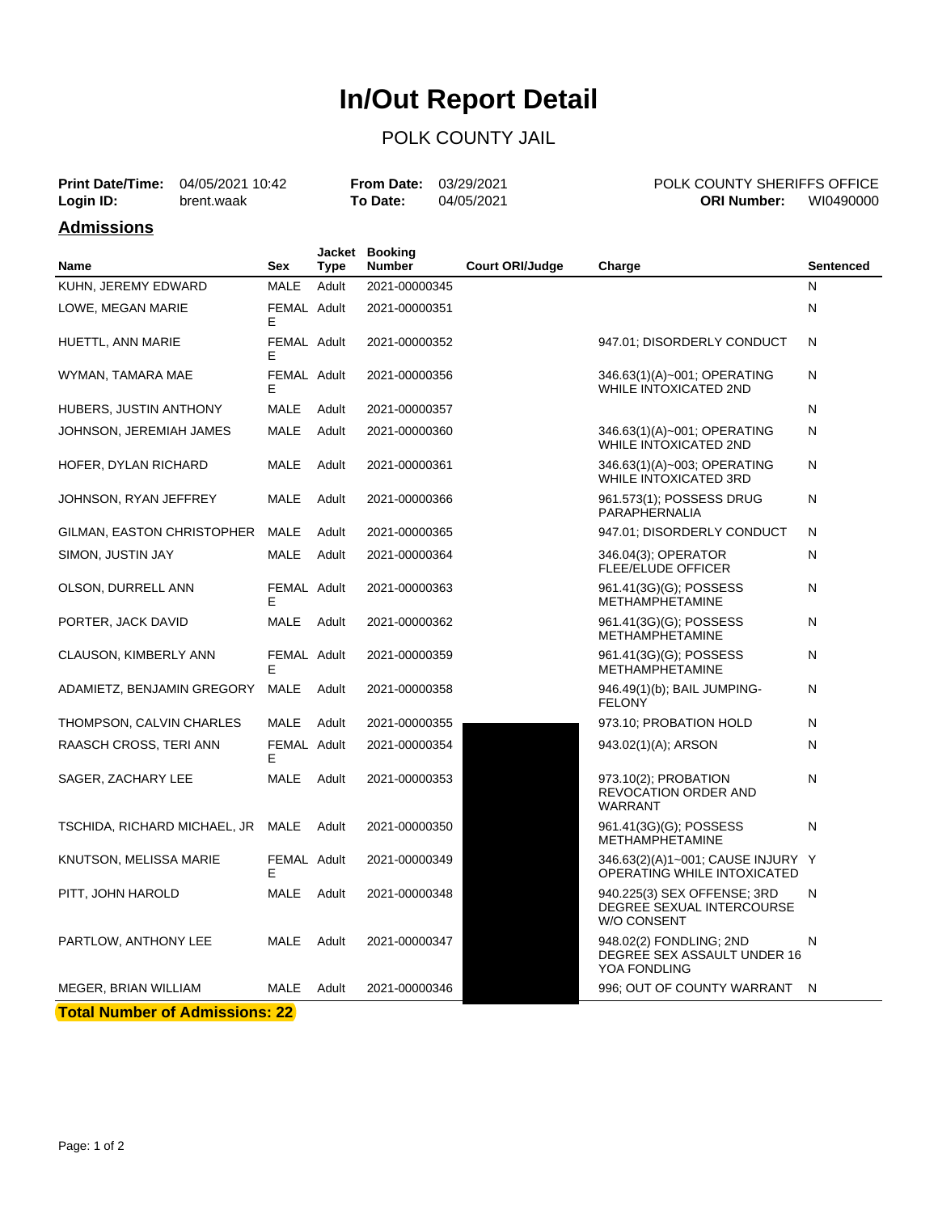# **In/Out Report Detail**

## POLK COUNTY JAIL

| <b>Print Date/Time:</b> 04/05/2021 10:42 |            | <b>From Date: 03/29/2021</b> |            | POLK COUNTY SHERIFFS OFFICE |           |
|------------------------------------------|------------|------------------------------|------------|-----------------------------|-----------|
| Login ID:                                | brent.waak | <b>To Date:</b>              | 04/05/2021 | <b>ORI Number:</b>          | WI0490000 |

#### **Admissions**

| <b>MALE</b><br>KUHN, JEREMY EDWARD<br>Adult<br>2021-00000345<br>N<br>N<br>LOWE, MEGAN MARIE<br>FEMAL Adult<br>2021-00000351<br>E<br>FEMAL Adult<br>947.01; DISORDERLY CONDUCT<br>N<br>HUETTL, ANN MARIE<br>2021-00000352<br>E<br>FEMAL Adult<br>2021-00000356<br>N<br>WYMAN, TAMARA MAE<br>346.63(1)(A)~001; OPERATING<br><b>WHILE INTOXICATED 2ND</b><br>Е<br>N<br>HUBERS, JUSTIN ANTHONY<br>MALE<br>Adult<br>2021-00000357<br><b>MALE</b><br>N<br>JOHNSON, JEREMIAH JAMES<br>Adult<br>2021-00000360<br>346.63(1)(A)~001; OPERATING<br><b>WHILE INTOXICATED 2ND</b><br>MALE<br>Adult<br>N<br>HOFER, DYLAN RICHARD<br>2021-00000361<br>346.63(1)(A)~003; OPERATING<br>WHILE INTOXICATED 3RD<br><b>MALE</b><br>Adult<br>N<br>JOHNSON, RYAN JEFFREY<br>2021-00000366<br>961.573(1); POSSESS DRUG<br>PARAPHERNALIA<br>GILMAN, EASTON CHRISTOPHER<br>MALE<br>Adult<br>2021-00000365<br>947.01; DISORDERLY CONDUCT<br>N<br>SIMON, JUSTIN JAY<br><b>MALE</b><br>Adult<br>346.04(3); OPERATOR<br>N<br>2021-00000364<br><b>FLEE/ELUDE OFFICER</b><br>FEMAL Adult<br>OLSON, DURRELL ANN<br>2021-00000363<br>961.41(3G)(G); POSSESS<br>N<br><b>METHAMPHETAMINE</b><br>Е<br>PORTER, JACK DAVID<br>MALE<br>Adult<br>2021-00000362<br>961.41(3G)(G); POSSESS<br>N<br><b>METHAMPHETAMINE</b><br>FEMAL Adult<br>2021-00000359<br>961.41(3G)(G); POSSESS<br>N<br>CLAUSON, KIMBERLY ANN<br>Е<br><b>METHAMPHETAMINE</b><br><b>MALE</b><br>ADAMIETZ, BENJAMIN GREGORY<br>Adult<br>2021-00000358<br>946.49(1)(b); BAIL JUMPING-<br>N<br><b>FELONY</b><br>N<br>THOMPSON, CALVIN CHARLES<br>MALE<br>Adult<br>2021-00000355<br>973.10; PROBATION HOLD<br>RAASCH CROSS, TERI ANN<br>FEMAL Adult<br>2021-00000354<br>N<br>943.02(1)(A); ARSON<br>Е<br>SAGER, ZACHARY LEE<br>MALE<br>Adult<br>N<br>2021-00000353<br>973.10(2); PROBATION |
|----------------------------------------------------------------------------------------------------------------------------------------------------------------------------------------------------------------------------------------------------------------------------------------------------------------------------------------------------------------------------------------------------------------------------------------------------------------------------------------------------------------------------------------------------------------------------------------------------------------------------------------------------------------------------------------------------------------------------------------------------------------------------------------------------------------------------------------------------------------------------------------------------------------------------------------------------------------------------------------------------------------------------------------------------------------------------------------------------------------------------------------------------------------------------------------------------------------------------------------------------------------------------------------------------------------------------------------------------------------------------------------------------------------------------------------------------------------------------------------------------------------------------------------------------------------------------------------------------------------------------------------------------------------------------------------------------------------------------------------------------------------------------------------------------------------|
|                                                                                                                                                                                                                                                                                                                                                                                                                                                                                                                                                                                                                                                                                                                                                                                                                                                                                                                                                                                                                                                                                                                                                                                                                                                                                                                                                                                                                                                                                                                                                                                                                                                                                                                                                                                                                |
|                                                                                                                                                                                                                                                                                                                                                                                                                                                                                                                                                                                                                                                                                                                                                                                                                                                                                                                                                                                                                                                                                                                                                                                                                                                                                                                                                                                                                                                                                                                                                                                                                                                                                                                                                                                                                |
|                                                                                                                                                                                                                                                                                                                                                                                                                                                                                                                                                                                                                                                                                                                                                                                                                                                                                                                                                                                                                                                                                                                                                                                                                                                                                                                                                                                                                                                                                                                                                                                                                                                                                                                                                                                                                |
|                                                                                                                                                                                                                                                                                                                                                                                                                                                                                                                                                                                                                                                                                                                                                                                                                                                                                                                                                                                                                                                                                                                                                                                                                                                                                                                                                                                                                                                                                                                                                                                                                                                                                                                                                                                                                |
|                                                                                                                                                                                                                                                                                                                                                                                                                                                                                                                                                                                                                                                                                                                                                                                                                                                                                                                                                                                                                                                                                                                                                                                                                                                                                                                                                                                                                                                                                                                                                                                                                                                                                                                                                                                                                |
|                                                                                                                                                                                                                                                                                                                                                                                                                                                                                                                                                                                                                                                                                                                                                                                                                                                                                                                                                                                                                                                                                                                                                                                                                                                                                                                                                                                                                                                                                                                                                                                                                                                                                                                                                                                                                |
|                                                                                                                                                                                                                                                                                                                                                                                                                                                                                                                                                                                                                                                                                                                                                                                                                                                                                                                                                                                                                                                                                                                                                                                                                                                                                                                                                                                                                                                                                                                                                                                                                                                                                                                                                                                                                |
|                                                                                                                                                                                                                                                                                                                                                                                                                                                                                                                                                                                                                                                                                                                                                                                                                                                                                                                                                                                                                                                                                                                                                                                                                                                                                                                                                                                                                                                                                                                                                                                                                                                                                                                                                                                                                |
|                                                                                                                                                                                                                                                                                                                                                                                                                                                                                                                                                                                                                                                                                                                                                                                                                                                                                                                                                                                                                                                                                                                                                                                                                                                                                                                                                                                                                                                                                                                                                                                                                                                                                                                                                                                                                |
|                                                                                                                                                                                                                                                                                                                                                                                                                                                                                                                                                                                                                                                                                                                                                                                                                                                                                                                                                                                                                                                                                                                                                                                                                                                                                                                                                                                                                                                                                                                                                                                                                                                                                                                                                                                                                |
|                                                                                                                                                                                                                                                                                                                                                                                                                                                                                                                                                                                                                                                                                                                                                                                                                                                                                                                                                                                                                                                                                                                                                                                                                                                                                                                                                                                                                                                                                                                                                                                                                                                                                                                                                                                                                |
|                                                                                                                                                                                                                                                                                                                                                                                                                                                                                                                                                                                                                                                                                                                                                                                                                                                                                                                                                                                                                                                                                                                                                                                                                                                                                                                                                                                                                                                                                                                                                                                                                                                                                                                                                                                                                |
|                                                                                                                                                                                                                                                                                                                                                                                                                                                                                                                                                                                                                                                                                                                                                                                                                                                                                                                                                                                                                                                                                                                                                                                                                                                                                                                                                                                                                                                                                                                                                                                                                                                                                                                                                                                                                |
|                                                                                                                                                                                                                                                                                                                                                                                                                                                                                                                                                                                                                                                                                                                                                                                                                                                                                                                                                                                                                                                                                                                                                                                                                                                                                                                                                                                                                                                                                                                                                                                                                                                                                                                                                                                                                |
|                                                                                                                                                                                                                                                                                                                                                                                                                                                                                                                                                                                                                                                                                                                                                                                                                                                                                                                                                                                                                                                                                                                                                                                                                                                                                                                                                                                                                                                                                                                                                                                                                                                                                                                                                                                                                |
|                                                                                                                                                                                                                                                                                                                                                                                                                                                                                                                                                                                                                                                                                                                                                                                                                                                                                                                                                                                                                                                                                                                                                                                                                                                                                                                                                                                                                                                                                                                                                                                                                                                                                                                                                                                                                |
| REVOCATION ORDER AND<br><b>WARRANT</b>                                                                                                                                                                                                                                                                                                                                                                                                                                                                                                                                                                                                                                                                                                                                                                                                                                                                                                                                                                                                                                                                                                                                                                                                                                                                                                                                                                                                                                                                                                                                                                                                                                                                                                                                                                         |
| N<br>TSCHIDA, RICHARD MICHAEL, JR MALE<br>Adult<br>2021-00000350<br>961.41(3G)(G); POSSESS<br>METHAMPHETAMINE                                                                                                                                                                                                                                                                                                                                                                                                                                                                                                                                                                                                                                                                                                                                                                                                                                                                                                                                                                                                                                                                                                                                                                                                                                                                                                                                                                                                                                                                                                                                                                                                                                                                                                  |
| FEMAL Adult<br>KNUTSON, MELISSA MARIE<br>2021-00000349<br>346.63(2)(A)1~001; CAUSE INJURY Y<br>Е<br>OPERATING WHILE INTOXICATED                                                                                                                                                                                                                                                                                                                                                                                                                                                                                                                                                                                                                                                                                                                                                                                                                                                                                                                                                                                                                                                                                                                                                                                                                                                                                                                                                                                                                                                                                                                                                                                                                                                                                |
| PITT, JOHN HAROLD<br>MALE<br>Adult<br>2021-00000348<br>940.225(3) SEX OFFENSE; 3RD<br>N<br>DEGREE SEXUAL INTERCOURSE<br><b>W/O CONSENT</b>                                                                                                                                                                                                                                                                                                                                                                                                                                                                                                                                                                                                                                                                                                                                                                                                                                                                                                                                                                                                                                                                                                                                                                                                                                                                                                                                                                                                                                                                                                                                                                                                                                                                     |
| <b>MALE</b><br>PARTLOW, ANTHONY LEE<br>Adult<br>2021-00000347<br>948.02(2) FONDLING; 2ND<br>N<br>DEGREE SEX ASSAULT UNDER 16<br>YOA FONDLING                                                                                                                                                                                                                                                                                                                                                                                                                                                                                                                                                                                                                                                                                                                                                                                                                                                                                                                                                                                                                                                                                                                                                                                                                                                                                                                                                                                                                                                                                                                                                                                                                                                                   |
| 996; OUT OF COUNTY WARRANT<br>MEGER, BRIAN WILLIAM<br>MALE<br>Adult<br>2021-00000346<br>N                                                                                                                                                                                                                                                                                                                                                                                                                                                                                                                                                                                                                                                                                                                                                                                                                                                                                                                                                                                                                                                                                                                                                                                                                                                                                                                                                                                                                                                                                                                                                                                                                                                                                                                      |